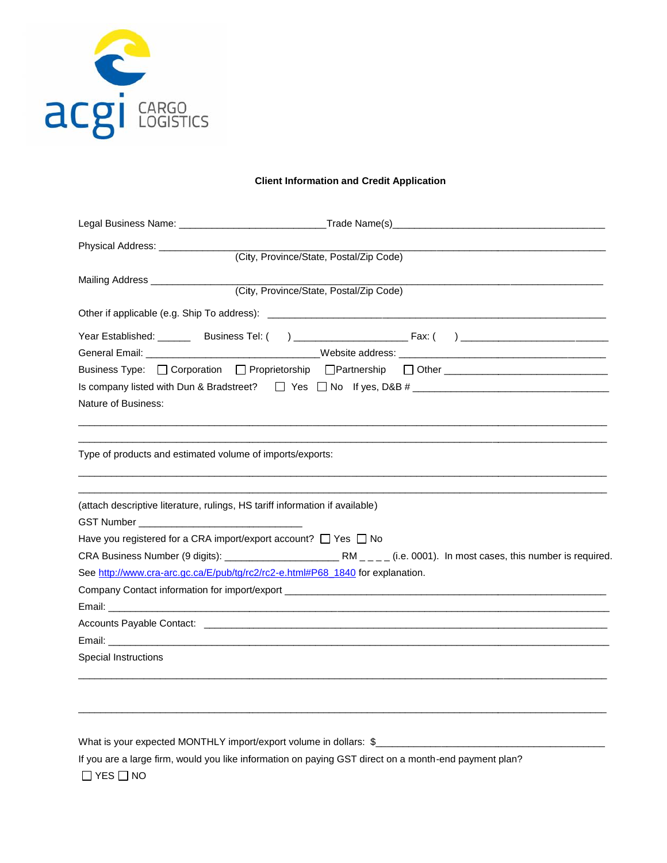

## **Client Information and Credit Application Information andCredit Application**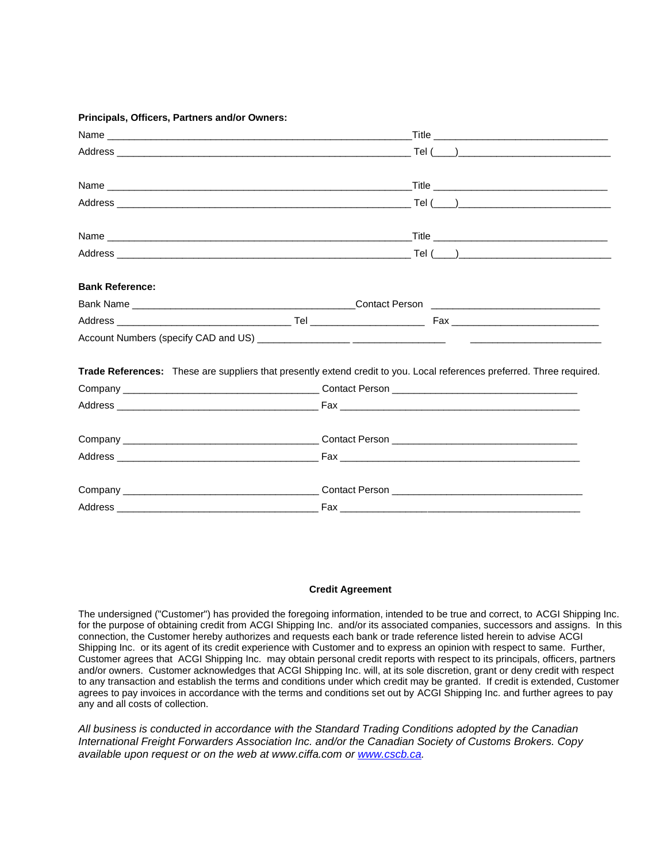## **Principals, Officers, Partners and/or Owners:**

| <b>Bank Reference:</b> |                                                                                                                        |  |  |
|------------------------|------------------------------------------------------------------------------------------------------------------------|--|--|
|                        |                                                                                                                        |  |  |
|                        |                                                                                                                        |  |  |
|                        |                                                                                                                        |  |  |
|                        | Trade References: These are suppliers that presently extend credit to you. Local references preferred. Three required. |  |  |
|                        |                                                                                                                        |  |  |
|                        |                                                                                                                        |  |  |
|                        |                                                                                                                        |  |  |
|                        |                                                                                                                        |  |  |
|                        |                                                                                                                        |  |  |
|                        |                                                                                                                        |  |  |

## **Credit Agreement**

The undersigned ("Customer") has provided the foregoing information, intended to be true and correct, to ACGI Shipping Inc. for the purpose of obtaining credit from ACGI Shipping Inc. and/or its associated companies, successors and assigns. In this connection, the Customer hereby authorizes and requests each bank or trade reference listed herein to advise ACGI Shipping Inc. or its agent of its credit experience with Customer and to express an opinion with respect to same. Further, Customer agrees that ACGI Shipping Inc. may obtain personal credit reports with respect to its principals, officers, partners and/or owners. Customer acknowledges that ACGI Shipping Inc. will, at its sole discretion, grant or deny credit with respect to any transaction and establish the terms and conditions under which credit may be granted. If credit is extended, Customer agrees to pay invoices in accordance with the terms and conditions set out by ACGI Shipping Inc. and further agrees to pay any and all costs of collection.

*All business is conducted in accordance with the Standard Trading Conditions adopted by the Canadian International Freight Forwarders Association Inc. and/or the Canadian Society of Customs Brokers. Copy available upon request or on the web at www.ciffa.com or www.cscb.ca.*